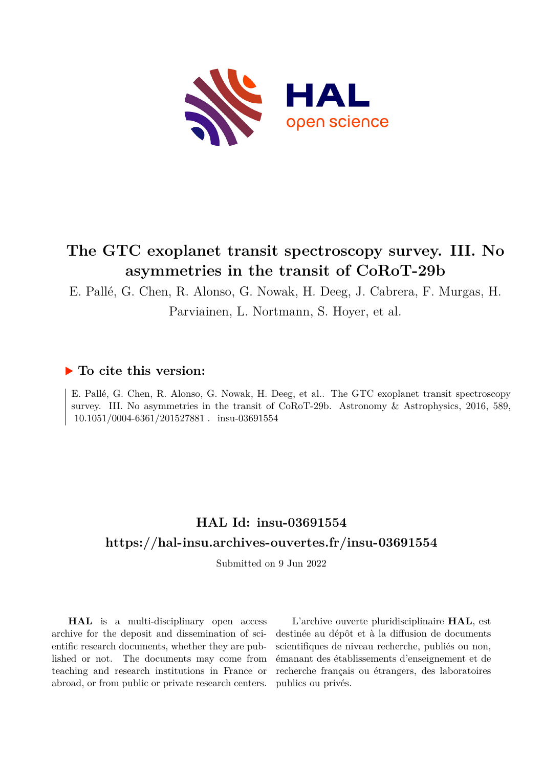

# **The GTC exoplanet transit spectroscopy survey. III. No asymmetries in the transit of CoRoT-29b**

E. Pallé, G. Chen, R. Alonso, G. Nowak, H. Deeg, J. Cabrera, F. Murgas, H.

Parviainen, L. Nortmann, S. Hoyer, et al.

### **To cite this version:**

E. Pallé, G. Chen, R. Alonso, G. Nowak, H. Deeg, et al.. The GTC exoplanet transit spectroscopy survey. III. No asymmetries in the transit of CoRoT-29b. Astronomy & Astrophysics, 2016, 589, 10.1051/0004-6361/201527881. insu-03691554

## **HAL Id: insu-03691554 <https://hal-insu.archives-ouvertes.fr/insu-03691554>**

Submitted on 9 Jun 2022

**HAL** is a multi-disciplinary open access archive for the deposit and dissemination of scientific research documents, whether they are published or not. The documents may come from teaching and research institutions in France or abroad, or from public or private research centers.

L'archive ouverte pluridisciplinaire **HAL**, est destinée au dépôt et à la diffusion de documents scientifiques de niveau recherche, publiés ou non, émanant des établissements d'enseignement et de recherche français ou étrangers, des laboratoires publics ou privés.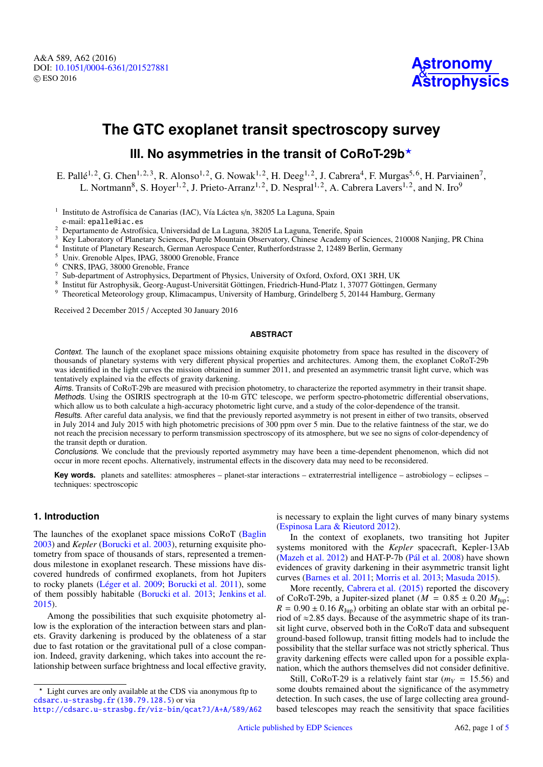## **The GTC exoplanet transit spectroscopy survey**

### III. No asymmetries in the transit of CoRoT-29b<sup>\*</sup>

E. Pallé<sup>1, 2</sup>, G. Chen<sup>1, 2, 3</sup>, R. Alonso<sup>1, 2</sup>, G. Nowak<sup>1, 2</sup>, H. Deeg<sup>1, 2</sup>, J. Cabrera<sup>4</sup>, F. Murgas<sup>5, 6</sup>, H. Parviainen<sup>7</sup>, L. Nortmann<sup>8</sup>, S. Hoyer<sup>1, 2</sup>, J. Prieto-Arranz<sup>1, 2</sup>, D. Nespral<sup>1, 2</sup>, A. Cabrera Lavers<sup>1, 2</sup>, and N. Iro<sup>9</sup>

<sup>1</sup> Instituto de Astrofísica de Canarias (IAC), Vía Láctea s/n, 38205 La Laguna, Spain e-mail: epalle@iac.es

<sup>2</sup> Departamento de Astrofísica, Universidad de La Laguna, 38205 La Laguna, Tenerife, Spain

<sup>3</sup> Key Laboratory of Planetary Sciences, Purple Mountain Observatory, Chinese Academy of Sciences, 210008 Nanjing, PR China

4 Institute of Planetary Research, German Aerospace Center, Rutherfordstrasse 2, 12489 Berlin, Germany

<sup>5</sup> Univ. Grenoble Alpes, IPAG, 38000 Grenoble, France

<sup>6</sup> CNRS, IPAG, 38000 Grenoble, France

<sup>7</sup> Sub-department of Astrophysics, Department of Physics, University of Oxford, Oxford, OX1 3RH, UK

8 Institut für Astrophysik, Georg-August-Universität Göttingen, Friedrich-Hund-Platz 1, 37077 Göttingen, Germany

<sup>9</sup> Theoretical Meteorology group, Klimacampus, University of Hamburg, Grindelberg 5, 20144 Hamburg, Germany

Received 2 December 2015 / Accepted 30 January 2016

#### **ABSTRACT**

Context. The launch of the exoplanet space missions obtaining exquisite photometry from space has resulted in the discovery of thousands of planetary systems with very different physical properties and architectures. Among them, the exoplanet CoRoT-29b was identified in the light curves the mission obtained in summer 2011, and presented an asymmetric transit light curve, which was tentatively explained via the effects of gravity darkening.

Aims. Transits of CoRoT-29b are measured with precision photometry, to characterize the reported asymmetry in their transit shape. Methods. Using the OSIRIS spectrograph at the 10-m GTC telescope, we perform spectro-photometric differential observations, which allow us to both calculate a high-accuracy photometric light curve, and a study of the color-dependence of the transit.

Results. After careful data analysis, we find that the previously reported asymmetry is not present in either of two transits, observed in July 2014 and July 2015 with high photometric precisions of 300 ppm over 5 min. Due to the relative faintness of the star, we do not reach the precision necessary to perform transmission spectroscopy of its atmosphere, but we see no signs of color-dependency of the transit depth or duration.

Conclusions. We conclude that the previously reported asymmetry may have been a time-dependent phenomenon, which did not occur in more recent epochs. Alternatively, instrumental effects in the discovery data may need to be reconsidered.

**Key words.** planets and satellites: atmospheres – planet-star interactions – extraterrestrial intelligence – astrobiology – eclipses – techniques: spectroscopic

#### **1. Introduction**

The launches of the exoplanet space missions CoRoT [\(Baglin](http://adsabs.harvard.edu/abs/2003AdSpR..31..345B) [2003\)](http://adsabs.harvard.edu/abs/2003AdSpR..31..345B) and *Kepler* [\(Borucki et al. 2003\)](http://adsabs.harvard.edu/abs/2003SPIE.4854..129B), returning exquisite photometry from space of thousands of stars, represented a tremendous milestone in exoplanet research. These missions have discovered hundreds of confirmed exoplanets, from hot Jupiters to rocky planets [\(Léger et al. 2009;](http://adsabs.harvard.edu/abs/2009A&A...506..287L) [Borucki et al. 2011\)](http://adsabs.harvard.edu/abs/2011ApJ...728..117B), some of them possibly habitable [\(Borucki et al. 2013;](http://adsabs.harvard.edu/abs/2013Sci...340..587B) [Jenkins et al.](http://adsabs.harvard.edu/abs/2015AJ....150...56J) [2015\)](http://adsabs.harvard.edu/abs/2015AJ....150...56J).

Among the possibilities that such exquisite photometry allow is the exploration of the interaction between stars and planets. Gravity darkening is produced by the oblateness of a star due to fast rotation or the gravitational pull of a close companion. Indeed, gravity darkening, which takes into account the relationship between surface brightness and local effective gravity, is necessary to explain the light curves of many binary systems [\(Espinosa Lara & Rieutord 2012\)](http://adsabs.harvard.edu/abs/2012A&A...547A..32E).

In the context of exoplanets, two transiting hot Jupiter systems monitored with the *Kepler* spacecraft, Kepler-13Ab [\(Mazeh et al. 2012\)](http://adsabs.harvard.edu/abs/2012A&A...541A..56M) and HAT-P-7b [\(Pál et al. 2008\)](http://adsabs.harvard.edu/abs/2008ApJ...680.1450P) have shown evidences of gravity darkening in their asymmetric transit light curves [\(Barnes et al. 2011;](http://adsabs.harvard.edu/abs/2011ApJS..197...10B) [Morris et al. 2013;](http://adsabs.harvard.edu/abs/2013ApJ...764L..22M) [Masuda 2015\)](http://adsabs.harvard.edu/abs/2015ApJ...805...28M).

More recently, [Cabrera et al. \(2015\)](http://adsabs.harvard.edu/abs/2015A&A...579A..36C) reported the discovery of CoRoT-29b, a Jupiter-sized planet ( $M = 0.85 \pm 0.20$   $M_{\text{Iun}}$ ;  $R = 0.90 \pm 0.16 R_{Jup}$ ) orbiting an oblate star with an orbital period of  $\approx$ 2.85 days. Because of the asymmetric shape of its transit light curve, observed both in the CoRoT data and subsequent ground-based followup, transit fitting models had to include the possibility that the stellar surface was not strictly spherical. Thus gravity darkening effects were called upon for a possible explanation, which the authors themselves did not consider definitive.

Still, CoRoT-29 is a relatively faint star  $(m_V = 15.56)$  and some doubts remained about the significance of the asymmetry detection. In such cases, the use of large collecting area groundbased telescopes may reach the sensitivity that space facilities

<sup>?</sup> Light curves are only available at the CDS via anonymous ftp to [cdsarc.u-strasbg.fr](http://cdsarc.u-strasbg.fr) (<130.79.128.5>) or via <http://cdsarc.u-strasbg.fr/viz-bin/qcat?J/A+A/589/A62>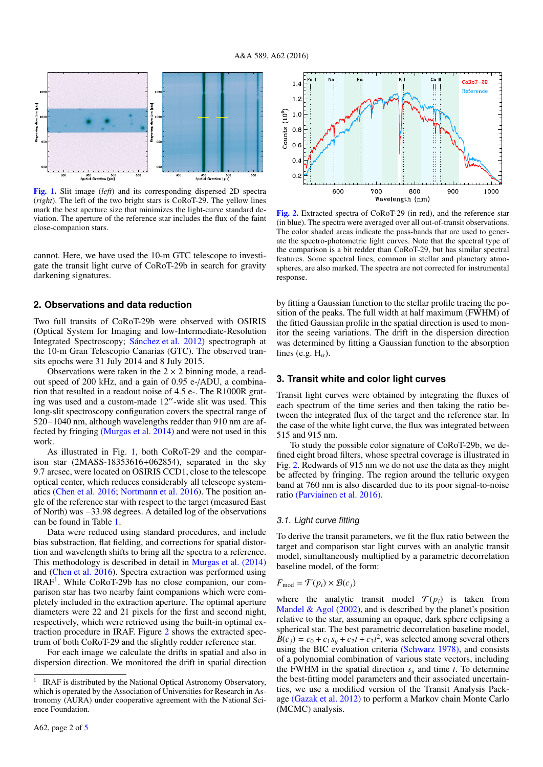

[Fig. 1.](http://dexter.edpsciences.org/applet.php?DOI=10.1051/0004-6361/201527881&pdf_id=1) Slit image (*left*) and its corresponding dispersed 2D spectra (*right*). The left of the two bright stars is CoRoT-29. The yellow lines mark the best aperture size that minimizes the light-curve standard deviation. The aperture of the reference star includes the flux of the faint close-companion stars.

cannot. Here, we have used the 10-m GTC telescope to investigate the transit light curve of CoRoT-29b in search for gravity darkening signatures.

#### **2. Observations and data reduction**

Two full transits of CoRoT-29b were observed with OSIRIS (Optical System for Imaging and low-Intermediate-Resolution Integrated Spectroscopy; [Sánchez et al. 2012\)](http://adsabs.harvard.edu/abs/2012SPIE.8446E..4TS) spectrograph at the 10-m Gran Telescopio Canarias (GTC). The observed transits epochs were 31 July 2014 and 8 July 2015.

Observations were taken in the  $2 \times 2$  binning mode, a readout speed of 200 kHz, and a gain of 0.95 e-/ADU, a combination that resulted in a readout noise of 4.5 e-. The R1000R grating was used and a custom-made 12"-wide slit was used. This long-slit spectroscopy configuration covers the spectral range of 520−1040 nm, although wavelengths redder than 910 nm are affected by fringing [\(Murgas et al. 2014\)](http://adsabs.harvard.edu/abs/2014A&A...563A..41M) and were not used in this work.

As illustrated in Fig. 1, both CoRoT-29 and the comparison star (2MASS-18353616+062854), separated in the sky 9.7 arcsec, were located on OSIRIS CCD1, close to the telescope optical center, which reduces considerably all telescope systematics (Chen et al. 2016; Nortmann et al. 2016). The position angle of the reference star with respect to the target (measured East of North) was <sup>−</sup>33.98 degrees. A detailed log of the observations can be found in Table 1.

Data were reduced using standard procedures, and include bias substraction, flat fielding, and corrections for spatial distortion and wavelength shifts to bring all the spectra to a reference. This methodology is described in detail in [Murgas et al. \(2014\)](http://adsabs.harvard.edu/abs/2014A&A...563A..41M) and (Chen et al. 2016). Spectra extraction was performed using IRAF<sup>1</sup>. While CoRoT-29b has no close companion, our comparison star has two nearby faint companions which were completely included in the extraction aperture. The optimal aperture diameters were 22 and 21 pixels for the first and second night, respectively, which were retrieved using the built-in optimal extraction procedure in IRAF. Figure 2 shows the extracted spectrum of both CoRoT-29 and the slightly redder reference star.

For each image we calculate the drifts in spatial and also in dispersion direction. We monitored the drift in spatial direction



[Fig. 2.](http://dexter.edpsciences.org/applet.php?DOI=10.1051/0004-6361/201527881&pdf_id=2) Extracted spectra of CoRoT-29 (in red), and the reference star (in blue). The spectra were averaged over all out-of-transit observations. The color shaded areas indicate the pass-bands that are used to generate the spectro-photometric light curves. Note that the spectral type of the comparison is a bit redder than CoRoT-29, but has similar spectral features. Some spectral lines, common in stellar and planetary atmospheres, are also marked. The spectra are not corrected for instrumental response.

by fitting a Gaussian function to the stellar profile tracing the position of the peaks. The full width at half maximum (FWHM) of the fitted Gaussian profile in the spatial direction is used to monitor the seeing variations. The drift in the dispersion direction was determined by fitting a Gaussian function to the absorption lines (e.g.  $H_{\alpha}$ ).

#### **3. Transit white and color light curves**

Transit light curves were obtained by integrating the fluxes of each spectrum of the time series and then taking the ratio between the integrated flux of the target and the reference star. In the case of the white light curve, the flux was integrated between 515 and 915 nm.

To study the possible color signature of CoRoT-29b, we defined eight broad filters, whose spectral coverage is illustrated in Fig. 2. Redwards of 915 nm we do not use the data as they might be affected by fringing. The region around the telluric oxygen band at 760 nm is also discarded due to its poor signal-to-noise ratio [\(Parviainen et al. 2016\).](http://adsabs.harvard.edu/abs/2016A&A...585A.114P)

#### 3.1. Light curve fitting

To derive the transit parameters, we fit the flux ratio between the target and comparison star light curves with an analytic transit model, simultaneously multiplied by a parametric decorrelation baseline model, of the form:

#### $F_{\text{mod}} = \mathcal{T}(p_i) \times \mathcal{B}(c_j)$

where the analytic transit model  $\mathcal{T}(p_i)$  is taken from Mandel  $\&$  Agol (2002), and is described by the planet's position relative to the star, assuming an opaque, dark sphere eclipsing a spherical star. The best parametric decorrelation baseline model,  $\overline{B}(c_j) = c_0 + c_1 s_y + c_2 t + c_3 t^2$ , was selected among several others using the BIC evaluation criteria [\(Schwarz 1978\),](http://adsabs.harvard.edu/abs/1978A&A....65..345S) and consists of a polynomial combination of various state vectors, including the FWHM in the spatial direction  $s_y$  and time *t*. To determine the best-fitting model parameters and their associated uncertainties, we use a modified version of the Transit Analysis Package [\(Gazak et al. 2012\)](http://adsabs.harvard.edu/abs/2012AdAst2012E..30G) to perform a Markov chain Monte Carlo (MCMC) analysis.

<sup>1</sup> IRAF is distributed by the National Optical Astronomy Observatory, which is operated by the Association of Universities for Research in Astronomy (AURA) under cooperative agreement with the National Science Foundation.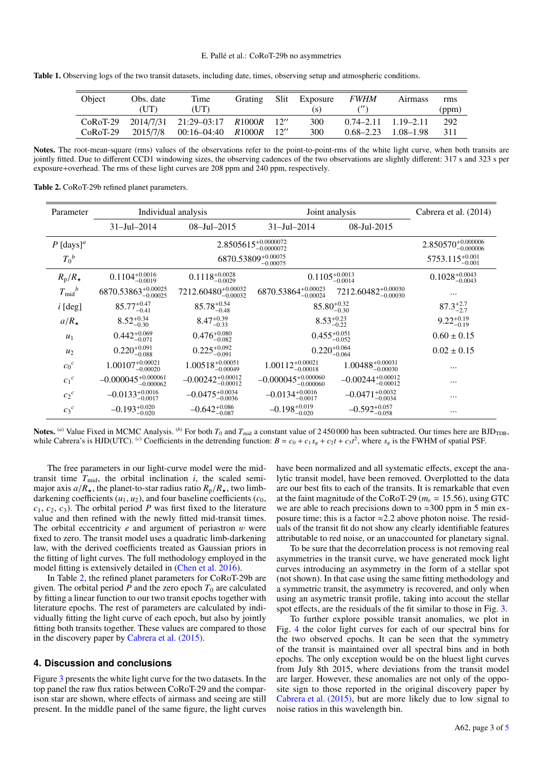Table 1. Observing logs of the two transit datasets, including date, times, observing setup and atmospheric conditions.

| Object                   | Obs. date<br>(UT)     | Time<br>(UT)                                                   | <b>Grating</b> | <b>Slit</b> | Exposure<br>(S) | <i>FWHM</i>                                  | <b>Airmass</b> | rms<br>(ppm) |
|--------------------------|-----------------------|----------------------------------------------------------------|----------------|-------------|-----------------|----------------------------------------------|----------------|--------------|
| $CoRoT-29$<br>$CoRoT-29$ | 2014/7/31<br>2015/7/8 | $21:29-03:17$ $R1000R$ $12''$<br>$00:16-04:40$ $R1000R$ $12''$ |                |             | 300<br>300      | $0.74 - 2.11$ $1.19 - 2.11$<br>$0.68 - 2.23$ | 1.08–1.98      | 292<br>311   |

Notes. The root-mean-square (rms) values of the observations refer to the point-to-point-rms of the white light curve, when both transits are jointly fitted. Due to different CCD1 windowing sizes, the observing cadences of the two observations are slightly different: 317 s and 323 s per exposure+overhead. The rms of these light curves are 208 ppm and 240 ppm, respectively.

Table 2. CoRoT-29b refined planet parameters.

| Parameter               | Individual analysis                 |                                    | Joint analysis                      | Cabrera et al. (2014)              |                      |
|-------------------------|-------------------------------------|------------------------------------|-------------------------------------|------------------------------------|----------------------|
|                         | $31 -$ Jul $-2014$                  | $08 - \text{Jul} - 2015$           | $31 -$ Jul $-2014$                  | 08-Jul-2015                        |                      |
| $P$ [days] <sup>a</sup> |                                     | $2.850570^{+0.000006}_{-0.000006}$ |                                     |                                    |                      |
| $T_0{}^b$               |                                     | 5753.115 <sup>+0.001</sup>         |                                     |                                    |                      |
| $R_{\rm p}/R_{\star}$   | $0.1104_{-0.0019}^{+0.0016}$        | $0.1118_{-0.0029}^{+0.0028}$       | $0.1105_{-0.0014}^{+0.0013}$        | $0.1028_{-0.0043}^{+0.0043}$       |                      |
| $T_{\rm mid}^{\ b}$     | 6870.53863 <sup>+0.00025</sup>      | $7212.60480^{+0.00032}_{-0.00032}$ | $6870.53864^{+0.00023}_{-0.00024}$  | $7212.60482^{+0.00030}_{-0.00030}$ | $\cdots$             |
| $i$ [deg]               | $85.77^{+0.47}_{-0.41}$             | $85.78_{-0.48}^{+0.54}$            | $85.80^{+0.32}_{-0.30}$             |                                    | $87.3^{+2.7}_{-2.7}$ |
| $a/R_{\star}$           | $8.52_{-0.30}^{+0.34}$              | $8.47^{+0.39}_{-0.33}$             | $8.53_{-0.22}^{+0.23}$              | $9.22_{-0.19}^{+0.19}$             |                      |
| $u_1$                   | $0.442_{-0.071}^{+0.069}$           | $0.476_{-0.082}^{+0.080}$          | $0.455_{-0.052}^{+0.051}$           |                                    | $0.60 \pm 0.15$      |
| $u_2$                   | $0.220_{-0.088}^{+0.091}$           | $0.225_{-0.091}^{+0.092}$          | $0.220_{-0.064}^{+0.064}$           |                                    | $0.02 \pm 0.15$      |
| $c_0^c$                 | $1.00107_{-0.00020}^{+0.00021}$     | $1.00518_{-0.00049}^{+0.00051}$    | $1.00112_{-0.00018}^{+0.00021}$     | $1.00488_{-0.00030}^{+0.00031}$    | $\ddotsc$            |
| $c_1^c$                 | $-0.000045^{+0.000061}_{-0.000062}$ | $-0.00242_{-0.00012}^{+0.00012}$   | $-0.000045^{+0.000060}_{-0.000060}$ | $-0.00244_{-0.00012}^{+0.00012}$   | $\ddotsc$            |
| $c_2{}^c$               | $-0.0133_{-0.0017}^{+0.0016}$       | $-0.0475^{+0.0034}_{-0.0036}$      | $-0.0134_{-0.0017}^{+0.0016}$       | $-0.0471_{-0.0034}^{+0.0032}$      | $\ddotsc$            |
| $c_3{}^c$               | $-0.193_{-0.020}^{+0.020}$          | $-0.642^{+0.086}_{-0.087}$         | $-0.198^{+0.019}_{-0.020}$          | $-0.592_{-0.058}^{+0.057}$         | $\ddotsc$            |

**Notes.** (a) Value Fixed in MCMC Analysis. (b) For both  $T_0$  and  $T_{mid}$  a constant value of 2450 000 has been subtracted. Our times here are BJD<sub>TDB</sub>, while Cabrera's is HJD(UTC). <sup>(*c*)</sup> Coefficients in the detrending function:  $B = c_0 + c_1 s_y + c_2 t + c_3 t^2$ , where  $s_y$  is the FWHM of spatial PSF.

The free parameters in our light-curve model were the midtransit time  $T_{mid}$ , the orbital inclination  $i$ , the scaled semimajor axis  $a/R_{\star}$ , the planet-to-star radius ratio  $R_{p}/R_{\star}$ , two limbdarkening coefficients  $(u_1, u_2)$ , and four baseline coefficients  $(c_0,$  $c_1, c_2, c_3$ ). The orbital period *P* was first fixed to the literature value and then refined with the newly fitted mid-transit times. The orbital eccentricity *<sup>e</sup>* and argument of periastron w were fixed to zero. The transit model uses a quadratic limb-darkening law, with the derived coefficients treated as Gaussian priors in the fitting of light curves. The full methodology employed in the model fitting is extensively detailed in (Chen et al. 2016).

In Table 2, the refined planet parameters for CoRoT-29b are given. The orbital period  $\overline{P}$  and the zero epoch  $T_0$  are calculated by fitting a linear function to our two transit epochs together with literature epochs. The rest of parameters are calculated by individually fitting the light curve of each epoch, but also by jointly fitting both transits together. These values are compared to those in the discovery paper by [Cabrera et al. \(2015\).](http://adsabs.harvard.edu/abs/2015A&A...579A..36C)

#### **4. Discussion and conclusions**

Figure 3 presents the white light curve for the two datasets. In the top panel the raw flux ratios between CoRoT-29 and the comparison star are shown, where effects of airmass and seeing are still present. In the middle panel of the same figure, the light curves have been normalized and all systematic effects, except the analytic transit model, have been removed. Overplotted to the data are our best fits to each of the transits. It is remarkable that even at the faint magnitude of the CoRoT-29 ( $m<sub>v</sub> = 15.56$ ), using GTC we are able to reach precisions down to  $\approx 300$  ppm in 5 min exposure time; this is a factor  $\approx 2.2$  above photon noise. The residuals of the transit fit do not show any clearly identifiable features attributable to red noise, or an unaccounted for planetary signal.

To be sure that the decorrelation process is not removing real asymmetries in the transit curve, we have generated mock light curves introducing an asymmetry in the form of a stellar spot (not shown). In that case using the same fitting methodology and a symmetric transit, the asymmetry is recovered, and only when using an asymetric transit profile, taking into accout the stellar spot effects, are the residuals of the fit similar to those in Fig. 3.

To further explore possible transit anomalies, we plot in Fig. 4 the color light curves for each of our spectral bins for the two observed epochs. It can be seen that the symmetry of the transit is maintained over all spectral bins and in both epochs. The only exception would be on the bluest light curves from July 8th 2015, where deviations from the transit model are larger. However, these anomalies are not only of the opposite sign to those reported in the original discovery paper by [Cabrera et al. \(2015\),](http://adsabs.harvard.edu/abs/2015A&A...579A..36C) but are more likely due to low signal to noise ratios in this wavelength bin.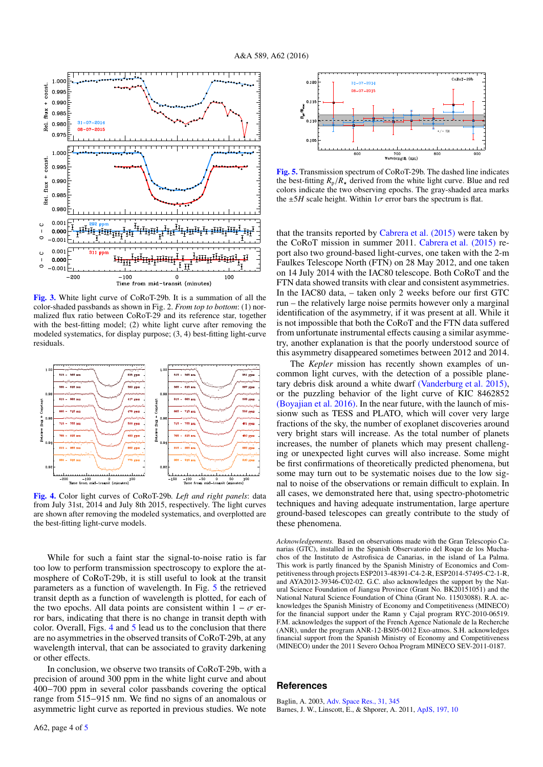

[Fig. 3.](http://dexter.edpsciences.org/applet.php?DOI=10.1051/0004-6361/201527881&pdf_id=3) White light curve of CoRoT-29b. It is a summation of all the color-shaded passbands as shown in Fig. 2. *From top to bottom*: (1) normalized flux ratio between CoRoT-29 and its reference star, together with the best-fitting model; (2) white light curve after removing the modeled systematics, for display purpose; (3, 4) best-fitting light-curve residuals.



[Fig. 4.](http://dexter.edpsciences.org/applet.php?DOI=10.1051/0004-6361/201527881&pdf_id=4) Color light curves of CoRoT-29b. *Left and right panels*: data from July 31st, 2014 and July 8th 2015, respectively. The light curves are shown after removing the modeled systematics, and overplotted are the best-fitting light-curve models.

While for such a faint star the signal-to-noise ratio is far too low to perform transmission spectroscopy to explore the atmosphere of CoRoT-29b, it is still useful to look at the transit parameters as a function of wavelength. In Fig. 5 the retrieved transit depth as a function of wavelength is plotted, for each of the two epochs. All data points are consistent within  $1 - \sigma$  error bars, indicating that there is no change in transit depth with color. Overall, Figs. 4 and 5 lead us to the conclusion that there are no asymmetries in the observed transits of CoRoT-29b, at any wavelength interval, that can be associated to gravity darkening or other effects.

In conclusion, we observe two transits of CoRoT-29b, with a precision of around 300 ppm in the white light curve and about 400−700 ppm in several color passbands covering the optical range from 515−915 nm. We find no signs of an anomalous or asymmetric light curve as reported in previous studies. We note



[Fig. 5.](http://dexter.edpsciences.org/applet.php?DOI=10.1051/0004-6361/201527881&pdf_id=5) Transmission spectrum of CoRoT-29b. The dashed line indicates the best-fitting  $R_p/R_{\star}$  derived from the white light curve. Blue and red colors indicate the two observing epochs. The gray-shaded area marks the  $\pm 5H$  scale height. Within  $1\sigma$  error bars the spectrum is flat.

that the transits reported by Cabrera et al.  $(2015)$  were taken by the CoRoT mission in summer 2011. [Cabrera et al. \(2015\)](http://adsabs.harvard.edu/abs/2015A&A...579A..36C) report also two ground-based light-curves, one taken with the 2-m Faulkes Telescope North (FTN) on 28 May 2012, and one taken on 14 July 2014 with the IAC80 telescope. Both CoRoT and the FTN data showed transits with clear and consistent asymmetries. In the IAC80 data, – taken only 2 weeks before our first GTC run – the relatively large noise permits however only a marginal identification of the asymmetry, if it was present at all. While it is not impossible that both the CoRoT and the FTN data suffered from unfortunate instrumental effects causing a similar asymmetry, another explanation is that the poorly understood source of this asymmetry disappeared sometimes between 2012 and 2014.

The *Kepler* mission has recently shown examples of uncommon light curves, with the detection of a possible planetary debris disk around a white dwarf [\(Vanderburg et al. 2015\),](http://adsabs.harvard.edu/abs/2015Natur.526..546V) or the puzzling behavior of the light curve of KIC 8462852 [\(Boyajian et al. 2016\).](http://adsabs.harvard.edu/abs/2015arXiv150903622B) In the near future, with the launch of missionw such as TESS and PLATO, which will cover very large fractions of the sky, the number of exoplanet discoveries around very bright stars will increase. As the total number of planets increases, the number of planets which may present challenging or unexpected light curves will also increase. Some might be first confirmations of theoretically predicted phenomena, but some may turn out to be systematic noises due to the low signal to noise of the observations or remain difficult to explain. In all cases, we demonstrated here that, using spectro-photometric techniques and having adequate instrumentation, large aperture ground-based telescopes can greatly contribute to the study of these phenomena.

*Acknowledgements.* Based on observations made with the Gran Telescopio Canarias (GTC), installed in the Spanish Observatorio del Roque de los Muchachos of the Instituto de Astrofisica de Canarias, in the island of La Palma. This work is partly financed by the Spanish Ministry of Economics and Competitiveness through projects ESP2013-48391-C4-2-R, ESP2014-57495-C2-1-R, and AYA2012-39346-C02-02. G.C. also acknowledges the support by the Natural Science Foundation of Jiangsu Province (Grant No. BK20151051) and the National Natural Science Foundation of China (Grant No. 11503088). R.A. acknowledges the Spanish Ministry of Economy and Competitiveness (MINECO) for the financial support under the Ramn y Cajal program RYC-2010-06519. F.M. acknowledges the support of the French Agence Nationale de la Recherche (ANR), under the program ANR-12-BS05-0012 Exo-atmos. S.H. acknowledges financial support from the Spanish Ministry of Economy and Competitiveness (MINECO) under the 2011 Severo Ochoa Program MINECO SEV-2011-0187.

#### **References**

Baglin, A. 2003, [Adv. Space Res., 31, 345](http://linker.aanda.org/10.1051/0004-6361/201527881/1) Barnes, J. W., Linscott, E., & Shporer, A. 2011, [ApJS, 197, 10](http://linker.aanda.org/10.1051/0004-6361/201527881/2)